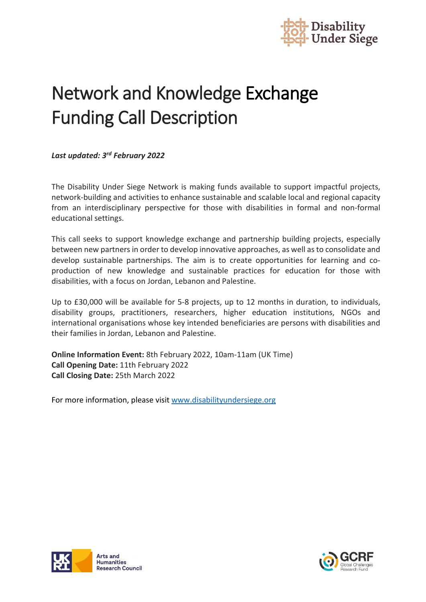

# Network and Knowledge Exchange Funding Call Description

*Last updated: 3rd February 2022*

The Disability Under Siege Network is making funds available to support impactful projects, network-building and activities to enhance sustainable and scalable local and regional capacity from an interdisciplinary perspective for those with disabilities in formal and non-formal educational settings.

This call seeks to support knowledge exchange and partnership building projects, especially between new partners in order to develop innovative approaches, as well as to consolidate and develop sustainable partnerships. The aim is to create opportunities for learning and coproduction of new knowledge and sustainable practices for education for those with disabilities, with a focus on Jordan, Lebanon and Palestine.

Up to £30,000 will be available for 5-8 projects, up to 12 months in duration, to individuals, disability groups, practitioners, researchers, higher education institutions, NGOs and international organisations whose key intended beneficiaries are persons with disabilities and their families in Jordan, Lebanon and Palestine.

**Online Information Event:** 8th February 2022, 10am-11am (UK Time) **Call Opening Date:** 11th February 2022 **Call Closing Date:** 25th March 2022

For more information, please visi[t www.disabilityundersiege.org](http://www.disabilityundersiege.org/)



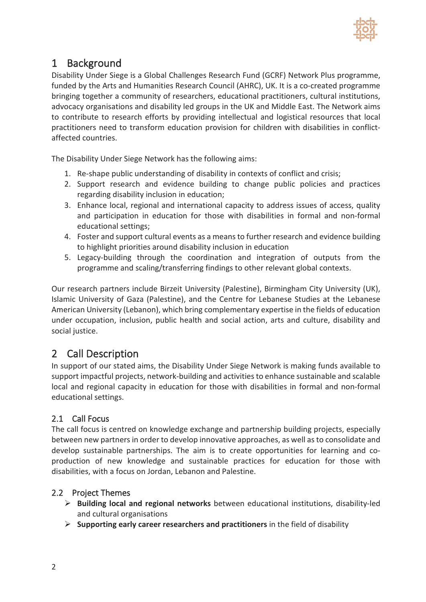

# 1 Background

Disability Under Siege is a Global Challenges Research Fund (GCRF) Network Plus programme, funded by the Arts and Humanities Research Council (AHRC), UK. It is a co-created programme bringing together a community of researchers, educational practitioners, cultural institutions, advocacy organisations and disability led groups in the UK and Middle East. The Network aims to contribute to research efforts by providing intellectual and logistical resources that local practitioners need to transform education provision for children with disabilities in conflictaffected countries.

The Disability Under Siege Network has the following aims:

- 1. Re-shape public understanding of disability in contexts of conflict and crisis;
- 2. Support research and evidence building to change public policies and practices regarding disability inclusion in education;
- 3. Enhance local, regional and international capacity to address issues of access, quality and participation in education for those with disabilities in formal and non-formal educational settings;
- 4. Foster and support cultural events as a means to further research and evidence building to highlight priorities around disability inclusion in education
- 5. Legacy-building through the coordination and integration of outputs from the programme and scaling/transferring findings to other relevant global contexts.

Our research partners include Birzeit University (Palestine), Birmingham City University (UK), Islamic University of Gaza (Palestine), and the Centre for Lebanese Studies at the Lebanese American University (Lebanon), which bring complementary expertise in the fields of education under occupation, inclusion, public health and social action, arts and culture, disability and social justice.

## 2 Call Description

In support of our stated aims, the Disability Under Siege Network is making funds available to support impactful projects, network-building and activities to enhance sustainable and scalable local and regional capacity in education for those with disabilities in formal and non-formal educational settings.

### 2.1 Call Focus

The call focus is centred on knowledge exchange and partnership building projects, especially between new partners in order to develop innovative approaches, as well as to consolidate and develop sustainable partnerships. The aim is to create opportunities for learning and coproduction of new knowledge and sustainable practices for education for those with disabilities, with a focus on Jordan, Lebanon and Palestine.

#### 2.2 Project Themes

- **Building local and regional networks** between educational institutions, disability-led and cultural organisations
- **Supporting early career researchers and practitioners** in the field of disability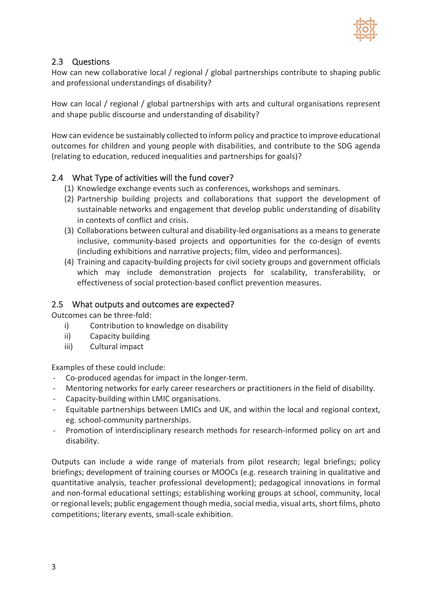

#### 2.3 Questions

How can new collaborative local / regional / global partnerships contribute to shaping public and professional understandings of disability?

How can local / regional / global partnerships with arts and cultural organisations represent and shape public discourse and understanding of disability?

How can evidence be sustainably collected to inform policy and practice to improve educational outcomes for children and young people with disabilities, and contribute to the SDG agenda (relating to education, reduced inequalities and partnerships for goals)?

#### 2.4 What Type of activities will the fund cover?

- (1) Knowledge exchange events such as conferences, workshops and seminars.
- (2) Partnership building projects and collaborations that support the development of sustainable networks and engagement that develop public understanding of disability in contexts of conflict and crisis.
- (3) Collaborations between cultural and disability-led organisations as a means to generate inclusive, community-based projects and opportunities for the co-design of events (including exhibitions and narrative projects; film, video and performances).
- (4) Training and capacity-building projects for civil society groups and government officials which may include demonstration projects for scalability, transferability, or effectiveness of social protection-based conflict prevention measures.

#### 2.5 What outputs and outcomes are expected?

Outcomes can be three-fold:

- i) Contribution to knowledge on disability
- ii) Capacity building
- iii) Cultural impact

Examples of these could include:

- Co-produced agendas for impact in the longer-term.
- Mentoring networks for early career researchers or practitioners in the field of disability.
- Capacity-building within LMIC organisations.
- Equitable partnerships between LMICs and UK, and within the local and regional context, eg. school-community partnerships.
- Promotion of interdisciplinary research methods for research-informed policy on art and disability.

Outputs can include a wide range of materials from pilot research; legal briefings; policy briefings; development of training courses or MOOCs (e.g. research training in qualitative and quantitative analysis, teacher professional development); pedagogical innovations in formal and non-formal educational settings; establishing working groups at school, community, local or regional levels; public engagement though media, social media, visual arts, short films, photo competitions; literary events, small-scale exhibition.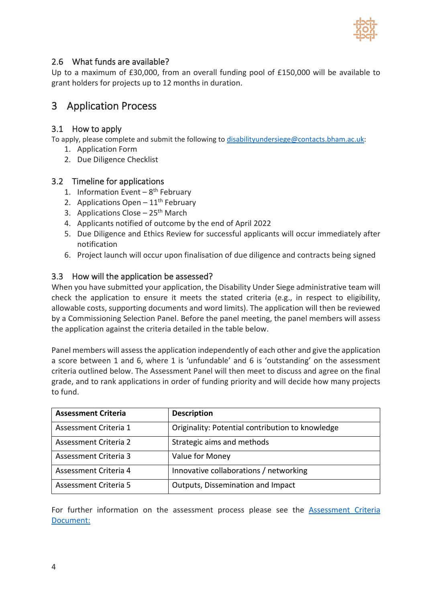

#### 2.6 What funds are available?

Up to a maximum of £30,000, from an overall funding pool of £150,000 will be available to grant holders for projects up to 12 months in duration.

## 3 Application Process

#### 3.1 How to apply

To apply, please complete and submit the following to [disabilityundersiege@contacts.bham.ac.uk:](mailto:disabilityundersiege@contacts.bham.ac.uk)

- 1. Application Form
- 2. Due Diligence Checklist

#### 3.2 Timeline for applications

- 1. Information Event  $-8$ <sup>th</sup> February
- 2. Applications Open  $-11^{th}$  February
- 3. Applications Close  $-25<sup>th</sup>$  March
- 4. Applicants notified of outcome by the end of April 2022
- 5. Due Diligence and Ethics Review for successful applicants will occur immediately after notification
- 6. Project launch will occur upon finalisation of due diligence and contracts being signed

#### 3.3 How will the application be assessed?

When you have submitted your application, the Disability Under Siege administrative team will check the application to ensure it meets the stated criteria (e.g., in respect to eligibility, allowable costs, supporting documents and word limits). The application will then be reviewed by a Commissioning Selection Panel. Before the panel meeting, the panel members will assess the application against the criteria detailed in the table below.

Panel members will assess the application independently of each other and give the application a score between 1 and 6, where 1 is 'unfundable' and 6 is 'outstanding' on the assessment criteria outlined below. The Assessment Panel will then meet to discuss and agree on the final grade, and to rank applications in order of funding priority and will decide how many projects to fund.

| <b>Assessment Criteria</b> | <b>Description</b>                               |
|----------------------------|--------------------------------------------------|
| Assessment Criteria 1      | Originality: Potential contribution to knowledge |
| Assessment Criteria 2      | Strategic aims and methods                       |
| Assessment Criteria 3      | Value for Money                                  |
| Assessment Criteria 4      | Innovative collaborations / networking           |
| Assessment Criteria 5      | Outputs, Dissemination and Impact                |

For further information on the assessment process please see the [Assessment Criteria](https://disabilityundersiege.org/wp-content/uploads/2022/02/Network-and-Knowledge-Exchange-Assessment-Criteria-03.02.pdf) [Document:](https://disabilityundersiege.org/wp-content/uploads/2022/02/Network-and-Knowledge-Exchange-Assessment-Criteria-03.02.pdf)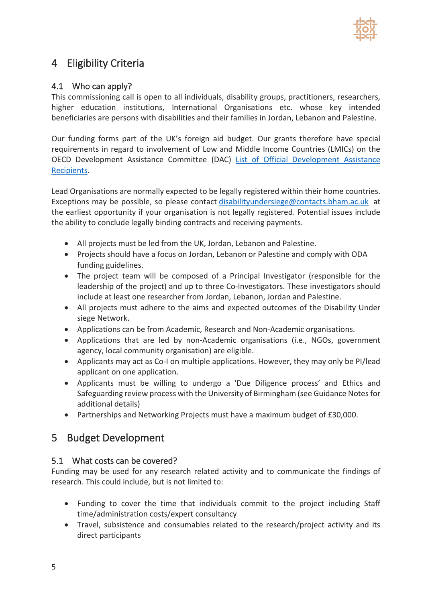

# 4 Eligibility Criteria

#### 4.1 Who can apply?

This commissioning call is open to all individuals, disability groups, practitioners, researchers, higher education institutions, International Organisations etc. whose key intended beneficiaries are persons with disabilities and their families in Jordan, Lebanon and Palestine.

Our funding forms part of the UK's foreign aid budget. Our grants therefore have special requirements in regard to involvement of Low and Middle Income Countries (LMICs) on the OECD Development Assistance Committee (DAC) [List of Official Development Assistance](https://www.oecd.org/dac/financing-sustainable-development/development-finance-standards/daclist.htm)  [Recipients.](https://www.oecd.org/dac/financing-sustainable-development/development-finance-standards/daclist.htm)

Lead Organisations are normally expected to be legally registered within their home countries. Exceptions may be possible, so please contact [disabilityundersiege@contacts.bham.ac.uk](mailto:disabilityundersiege@contacts.bham.ac.uk) at the earliest opportunity if your organisation is not legally registered. Potential issues include the ability to conclude legally binding contracts and receiving payments.

- All projects must be led from the UK, Jordan, Lebanon and Palestine.
- Projects should have a focus on Jordan, Lebanon or Palestine and comply with ODA funding guidelines.
- The project team will be composed of a Principal Investigator (responsible for the leadership of the project) and up to three Co-Investigators. These investigators should include at least one researcher from Jordan, Lebanon, Jordan and Palestine.
- All projects must adhere to the aims and expected outcomes of the Disability Under siege Network.
- Applications can be from Academic, Research and Non-Academic organisations.
- Applications that are led by non-Academic organisations (i.e., NGOs, government agency, local community organisation) are eligible.
- Applicants may act as Co-I on multiple applications. However, they may only be PI/lead applicant on one application.
- Applicants must be willing to undergo a 'Due Diligence process' and Ethics and Safeguarding review process with the University of Birmingham (see Guidance Notesfor additional details)
- Partnerships and Networking Projects must have a maximum budget of £30,000.

## 5 Budget Development

#### 5.1 What costs can be covered?

Funding may be used for any research related activity and to communicate the findings of research. This could include, but is not limited to:

- Funding to cover the time that individuals commit to the project including Staff time/administration costs/expert consultancy
- Travel, subsistence and consumables related to the research/project activity and its direct participants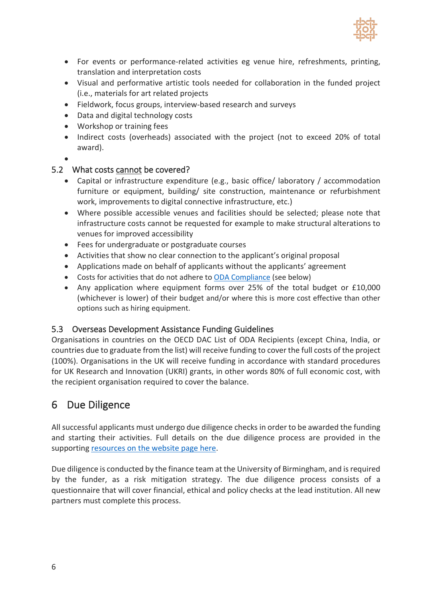

- For events or performance-related activities eg venue hire, refreshments, printing, translation and interpretation costs
- Visual and performative artistic tools needed for collaboration in the funded project (i.e., materials for art related projects
- Fieldwork, focus groups, interview-based research and surveys
- Data and digital technology costs
- Workshop or training fees
- Indirect costs (overheads) associated with the project (not to exceed 20% of total award).
- •

#### 5.2 What costs cannot be covered?

- Capital or infrastructure expenditure (e.g., basic office/ laboratory / accommodation furniture or equipment, building/ site construction, maintenance or refurbishment work, improvements to digital connective infrastructure, etc.)
- Where possible accessible venues and facilities should be selected; please note that infrastructure costs cannot be requested for example to make structural alterations to venues for improved accessibility
- Fees for undergraduate or postgraduate courses
- Activities that show no clear connection to the applicant's original proposal
- Applications made on behalf of applicants without the applicants' agreement
- Costs for activities that do not adhere to [ODA Compliance](https://www.ukri.org/wp-content/uploads/2020/10/UKRI-271020-GCRFODAGuidance.pdf) (see below)
- Any application where equipment forms over 25% of the total budget or £10,000 (whichever is lower) of their budget and/or where this is more cost effective than other options such as hiring equipment.

#### 5.3 Overseas Development Assistance Funding Guidelines

Organisations in countries on the OECD DAC List of ODA Recipients (except China, India, or countries due to graduate from the list) will receive funding to cover the full costs of the project (100%). Organisations in the UK will receive funding in accordance with standard procedures for UK Research and Innovation (UKRI) grants, in other words 80% of full economic cost, with the recipient organisation required to cover the balance.

## 6 Due Diligence

All successful applicants must undergo due diligence checks in order to be awarded the funding and starting their activities. Full details on the due diligence process are provided in the supporting [resources on the website page here.](https://disabilityundersiege.org/wp-content/uploads/2022/02/Due-Diligence-Guidance-03.02.pdf)

Due diligence is conducted by the finance team at the University of Birmingham, and is required by the funder, as a risk mitigation strategy. The due diligence process consists of a questionnaire that will cover financial, ethical and policy checks at the lead institution. All new partners must complete this process.